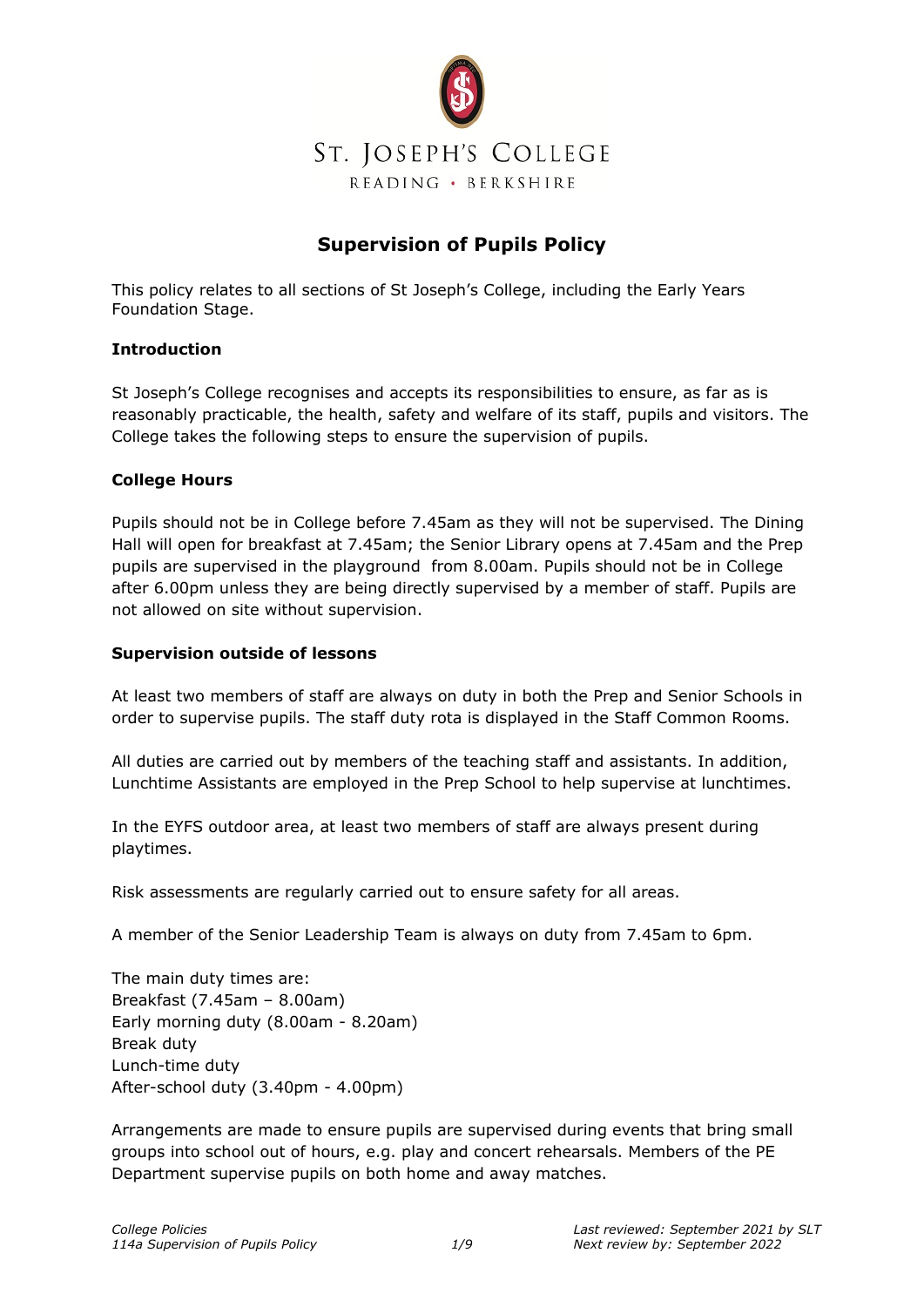

### **Supervision of Pupils Policy**

This policy relates to all sections of St Joseph's College, including the Early Years Foundation Stage.

#### **Introduction**

St Joseph's College recognises and accepts its responsibilities to ensure, as far as is reasonably practicable, the health, safety and welfare of its staff, pupils and visitors. The College takes the following steps to ensure the supervision of pupils.

#### **College Hours**

Pupils should not be in College before 7.45am as they will not be supervised. The Dining Hall will open for breakfast at 7.45am; the Senior Library opens at 7.45am and the Prep pupils are supervised in the playground from 8.00am. Pupils should not be in College after 6.00pm unless they are being directly supervised by a member of staff. Pupils are not allowed on site without supervision.

#### **Supervision outside of lessons**

At least two members of staff are always on duty in both the Prep and Senior Schools in order to supervise pupils. The staff duty rota is displayed in the Staff Common Rooms.

All duties are carried out by members of the teaching staff and assistants. In addition, Lunchtime Assistants are employed in the Prep School to help supervise at lunchtimes.

In the EYFS outdoor area, at least two members of staff are always present during playtimes.

Risk assessments are regularly carried out to ensure safety for all areas.

A member of the Senior Leadership Team is always on duty from 7.45am to 6pm.

The main duty times are: Breakfast (7.45am – 8.00am) Early morning duty (8.00am - 8.20am) Break duty Lunch-time duty After-school duty (3.40pm - 4.00pm)

Arrangements are made to ensure pupils are supervised during events that bring small groups into school out of hours, e.g. play and concert rehearsals. Members of the PE Department supervise pupils on both home and away matches.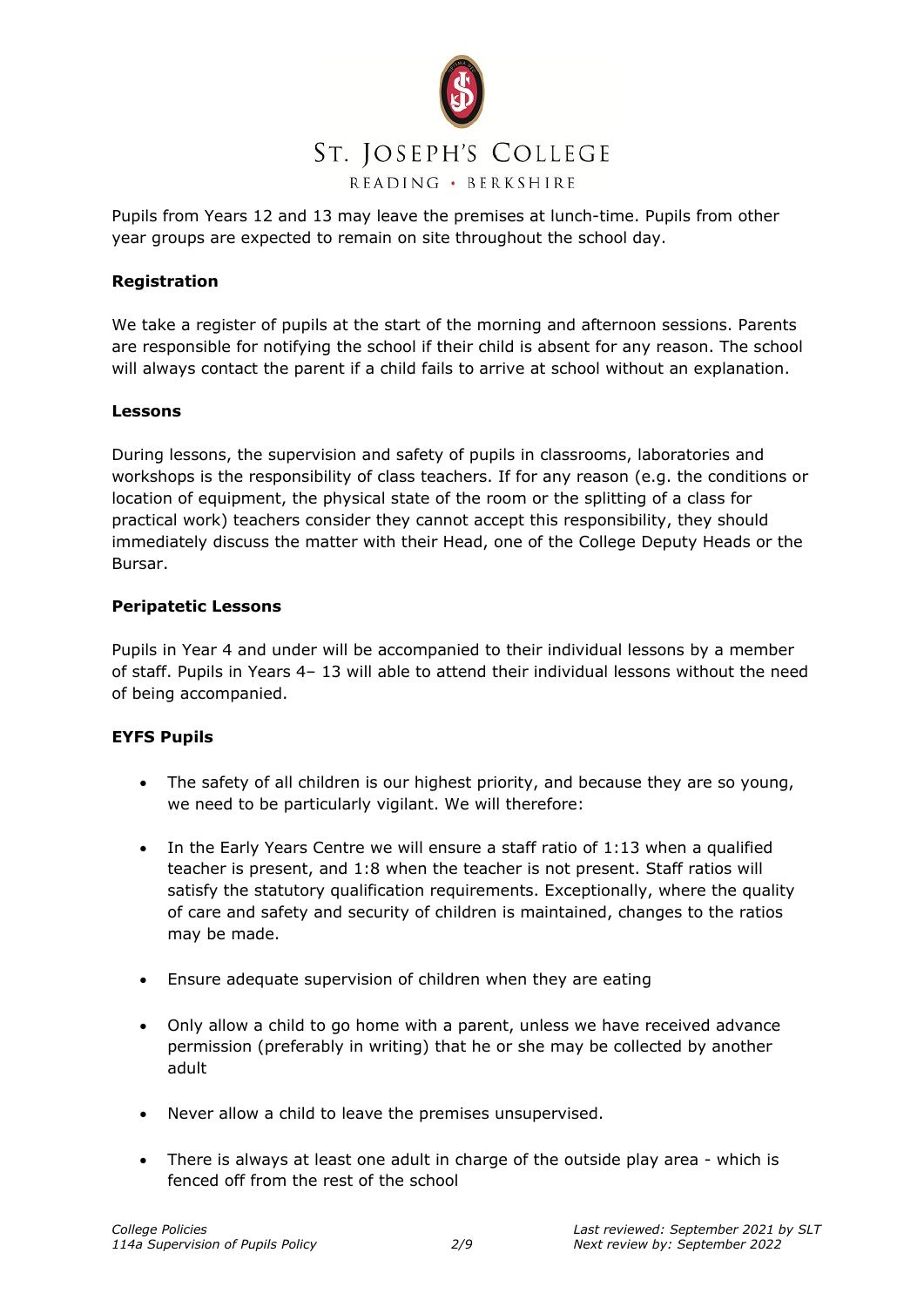

Pupils from Years 12 and 13 may leave the premises at lunch-time. Pupils from other year groups are expected to remain on site throughout the school day.

#### **Registration**

We take a register of pupils at the start of the morning and afternoon sessions. Parents are responsible for notifying the school if their child is absent for any reason. The school will always contact the parent if a child fails to arrive at school without an explanation.

#### **Lessons**

During lessons, the supervision and safety of pupils in classrooms, laboratories and workshops is the responsibility of class teachers. If for any reason (e.g. the conditions or location of equipment, the physical state of the room or the splitting of a class for practical work) teachers consider they cannot accept this responsibility, they should immediately discuss the matter with their Head, one of the College Deputy Heads or the Bursar.

#### **Peripatetic Lessons**

Pupils in Year 4 and under will be accompanied to their individual lessons by a member of staff. Pupils in Years 4– 13 will able to attend their individual lessons without the need of being accompanied.

#### **EYFS Pupils**

- The safety of all children is our highest priority, and because they are so young, we need to be particularly vigilant. We will therefore:
- In the Early Years Centre we will ensure a staff ratio of 1:13 when a qualified teacher is present, and 1:8 when the teacher is not present. Staff ratios will satisfy the statutory qualification requirements. Exceptionally, where the quality of care and safety and security of children is maintained, changes to the ratios may be made.
- Ensure adequate supervision of children when they are eating
- Only allow a child to go home with a parent, unless we have received advance permission (preferably in writing) that he or she may be collected by another adult
- Never allow a child to leave the premises unsupervised.
- There is always at least one adult in charge of the outside play area which is fenced off from the rest of the school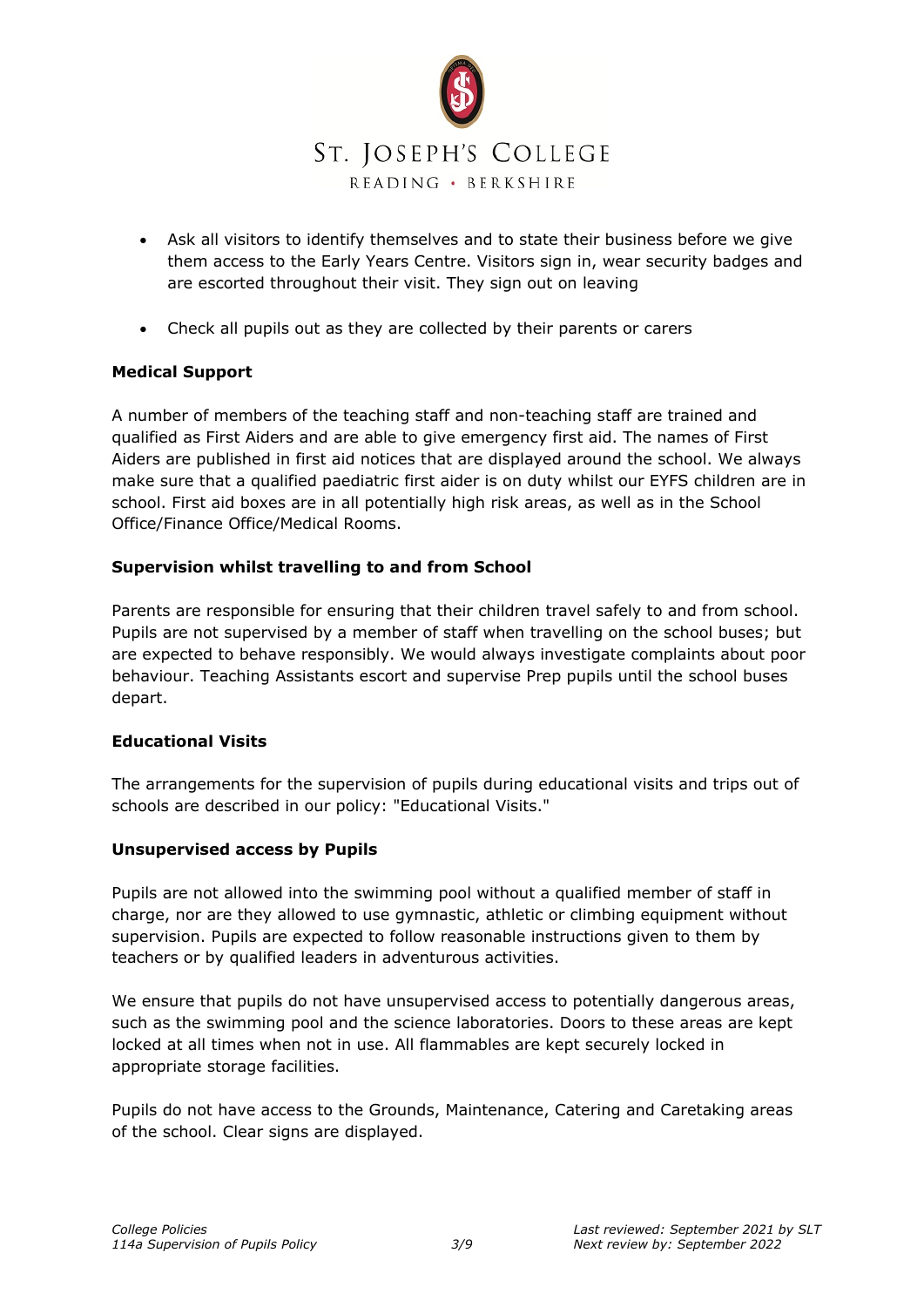

- Ask all visitors to identify themselves and to state their business before we give them access to the Early Years Centre. Visitors sign in, wear security badges and are escorted throughout their visit. They sign out on leaving
- Check all pupils out as they are collected by their parents or carers

#### **Medical Support**

A number of members of the teaching staff and non-teaching staff are trained and qualified as First Aiders and are able to give emergency first aid. The names of First Aiders are published in first aid notices that are displayed around the school. We always make sure that a qualified paediatric first aider is on duty whilst our EYFS children are in school. First aid boxes are in all potentially high risk areas, as well as in the School Office/Finance Office/Medical Rooms.

#### **Supervision whilst travelling to and from School**

Parents are responsible for ensuring that their children travel safely to and from school. Pupils are not supervised by a member of staff when travelling on the school buses; but are expected to behave responsibly. We would always investigate complaints about poor behaviour. Teaching Assistants escort and supervise Prep pupils until the school buses depart.

#### **Educational Visits**

The arrangements for the supervision of pupils during educational visits and trips out of schools are described in our policy: "Educational Visits."

#### **Unsupervised access by Pupils**

Pupils are not allowed into the swimming pool without a qualified member of staff in charge, nor are they allowed to use gymnastic, athletic or climbing equipment without supervision. Pupils are expected to follow reasonable instructions given to them by teachers or by qualified leaders in adventurous activities.

We ensure that pupils do not have unsupervised access to potentially dangerous areas, such as the swimming pool and the science laboratories. Doors to these areas are kept locked at all times when not in use. All flammables are kept securely locked in appropriate storage facilities.

Pupils do not have access to the Grounds, Maintenance, Catering and Caretaking areas of the school. Clear signs are displayed.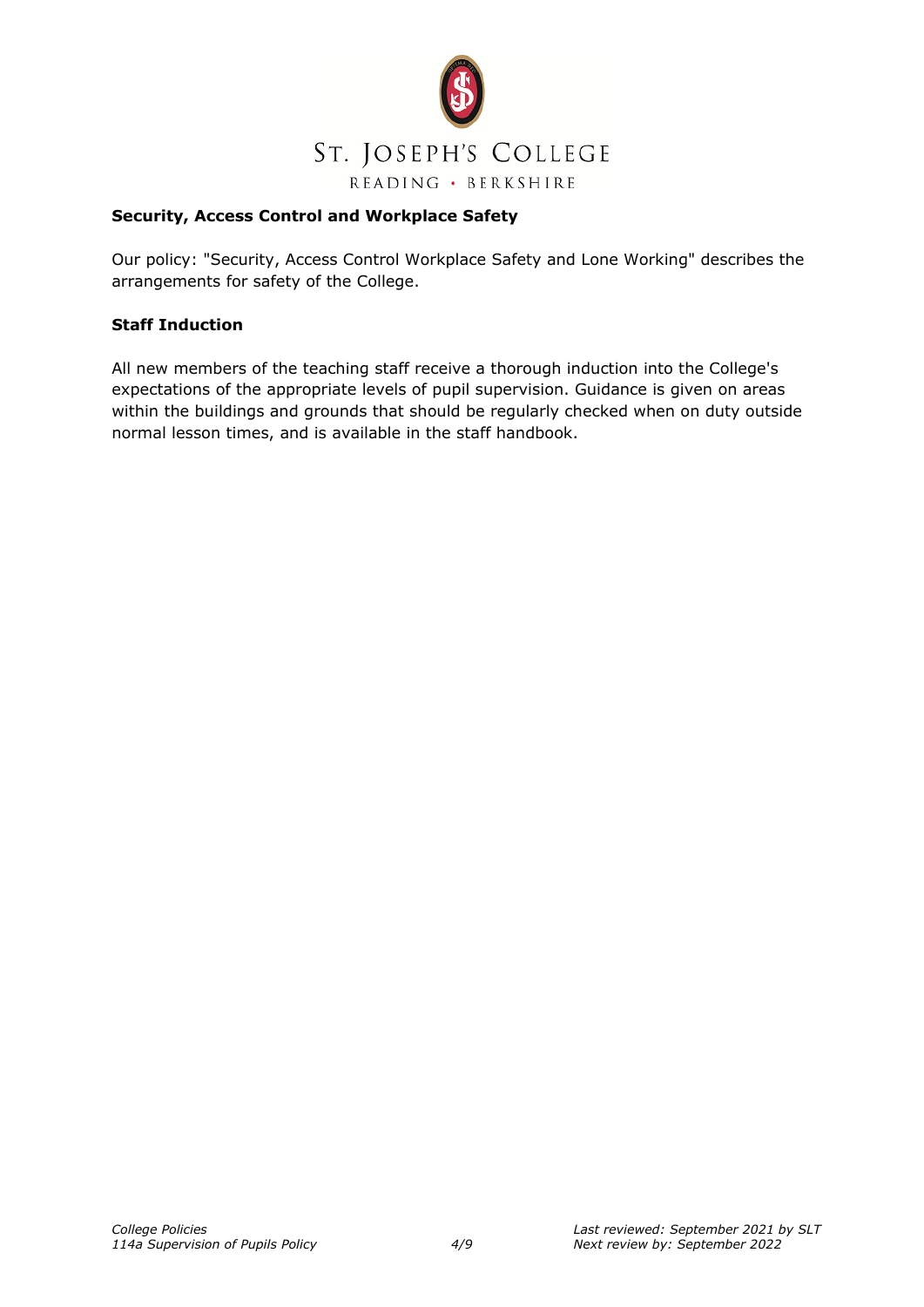

#### **Security, Access Control and Workplace Safety**

Our policy: "Security, Access Control Workplace Safety and Lone Working" describes the arrangements for safety of the College.

#### **Staff Induction**

All new members of the teaching staff receive a thorough induction into the College's expectations of the appropriate levels of pupil supervision. Guidance is given on areas within the buildings and grounds that should be regularly checked when on duty outside normal lesson times, and is available in the staff handbook.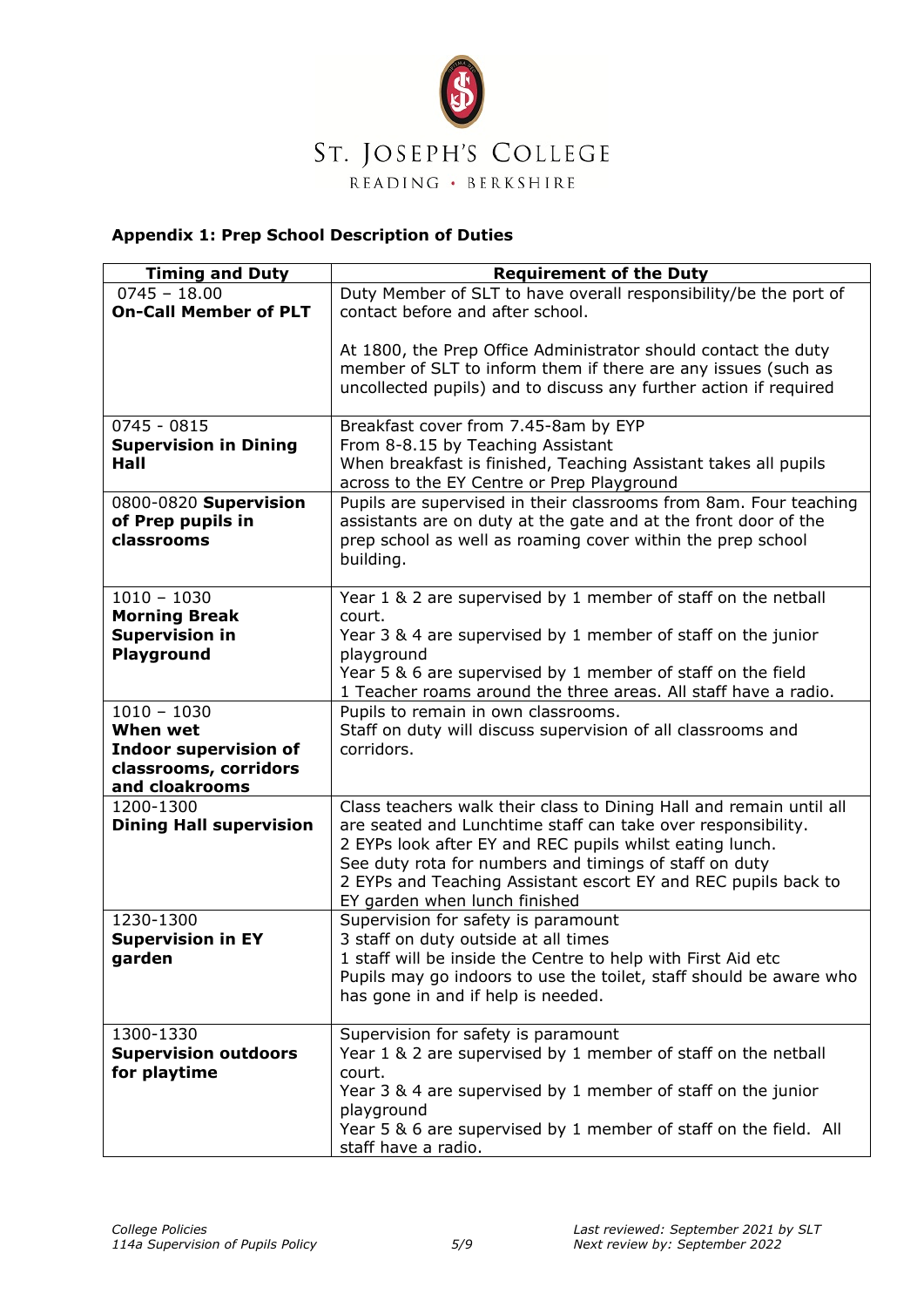

### **Appendix 1: Prep School Description of Duties**

| <b>Timing and Duty</b>                                                                               | <b>Requirement of the Duty</b>                                                                                                                                                                                                                                                                                                                               |
|------------------------------------------------------------------------------------------------------|--------------------------------------------------------------------------------------------------------------------------------------------------------------------------------------------------------------------------------------------------------------------------------------------------------------------------------------------------------------|
| $0745 - 18.00$                                                                                       | Duty Member of SLT to have overall responsibility/be the port of                                                                                                                                                                                                                                                                                             |
| <b>On-Call Member of PLT</b>                                                                         | contact before and after school.                                                                                                                                                                                                                                                                                                                             |
|                                                                                                      | At 1800, the Prep Office Administrator should contact the duty<br>member of SLT to inform them if there are any issues (such as<br>uncollected pupils) and to discuss any further action if required                                                                                                                                                         |
| $0745 - 0815$<br><b>Supervision in Dining</b><br>Hall                                                | Breakfast cover from 7.45-8am by EYP<br>From 8-8.15 by Teaching Assistant<br>When breakfast is finished, Teaching Assistant takes all pupils<br>across to the EY Centre or Prep Playground                                                                                                                                                                   |
| 0800-0820 Supervision<br>of Prep pupils in<br>classrooms                                             | Pupils are supervised in their classrooms from 8am. Four teaching<br>assistants are on duty at the gate and at the front door of the<br>prep school as well as roaming cover within the prep school<br>building.                                                                                                                                             |
| $1010 - 1030$<br><b>Morning Break</b><br><b>Supervision in</b><br>Playground                         | Year 1 & 2 are supervised by 1 member of staff on the netball<br>court.<br>Year 3 & 4 are supervised by 1 member of staff on the junior<br>playground<br>Year 5 & 6 are supervised by 1 member of staff on the field<br>1 Teacher roams around the three areas. All staff have a radio.                                                                      |
| $1010 - 1030$<br>When wet<br><b>Indoor supervision of</b><br>classrooms, corridors<br>and cloakrooms | Pupils to remain in own classrooms.<br>Staff on duty will discuss supervision of all classrooms and<br>corridors.                                                                                                                                                                                                                                            |
| 1200-1300<br><b>Dining Hall supervision</b>                                                          | Class teachers walk their class to Dining Hall and remain until all<br>are seated and Lunchtime staff can take over responsibility.<br>2 EYPs look after EY and REC pupils whilst eating lunch.<br>See duty rota for numbers and timings of staff on duty<br>2 EYPs and Teaching Assistant escort EY and REC pupils back to<br>EY garden when lunch finished |
| 1230-1300<br><b>Supervision in EY</b><br>garden                                                      | Supervision for safety is paramount<br>3 staff on duty outside at all times<br>1 staff will be inside the Centre to help with First Aid etc<br>Pupils may go indoors to use the toilet, staff should be aware who<br>has gone in and if help is needed.                                                                                                      |
| 1300-1330<br><b>Supervision outdoors</b><br>for playtime                                             | Supervision for safety is paramount<br>Year 1 & 2 are supervised by 1 member of staff on the netball<br>court.<br>Year 3 & 4 are supervised by 1 member of staff on the junior<br>playground<br>Year 5 & 6 are supervised by 1 member of staff on the field. All<br>staff have a radio.                                                                      |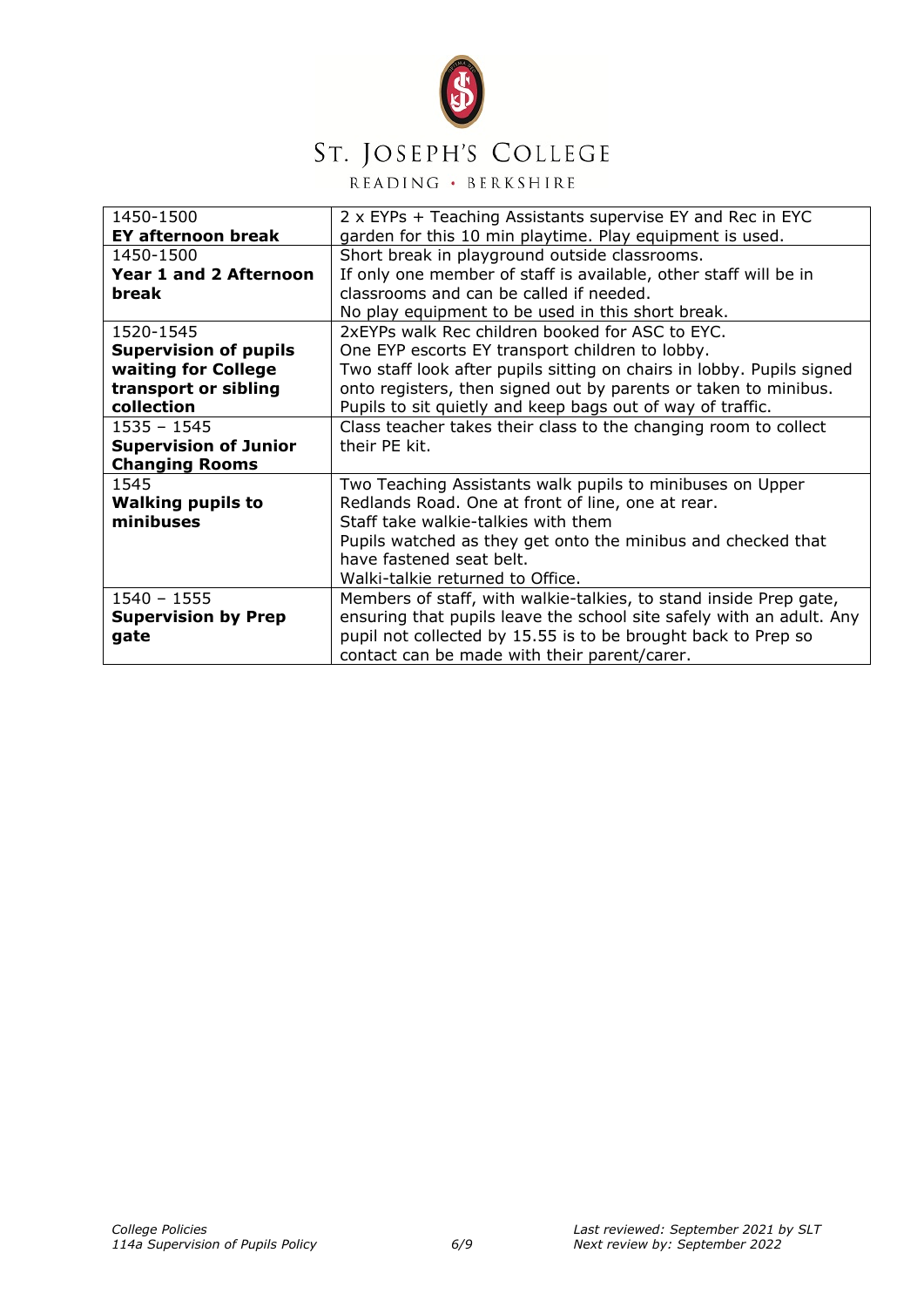

# ST. JOSEPH'S COLLEGE

READING · BERKSHIRE

| 1450-1500                     | 2 x EYPs + Teaching Assistants supervise EY and Rec in EYC            |
|-------------------------------|-----------------------------------------------------------------------|
| <b>EY afternoon break</b>     | garden for this 10 min playtime. Play equipment is used.              |
| 1450-1500                     | Short break in playground outside classrooms.                         |
| <b>Year 1 and 2 Afternoon</b> | If only one member of staff is available, other staff will be in      |
| break                         | classrooms and can be called if needed.                               |
|                               | No play equipment to be used in this short break.                     |
| 1520-1545                     | 2xEYPs walk Rec children booked for ASC to EYC.                       |
| <b>Supervision of pupils</b>  | One EYP escorts EY transport children to lobby.                       |
| waiting for College           | Two staff look after pupils sitting on chairs in lobby. Pupils signed |
| transport or sibling          | onto registers, then signed out by parents or taken to minibus.       |
| collection                    | Pupils to sit quietly and keep bags out of way of traffic.            |
| $1535 - 1545$                 | Class teacher takes their class to the changing room to collect       |
| <b>Supervision of Junior</b>  | their PE kit.                                                         |
| <b>Changing Rooms</b>         |                                                                       |
| 1545                          | Two Teaching Assistants walk pupils to minibuses on Upper             |
| <b>Walking pupils to</b>      | Redlands Road. One at front of line, one at rear.                     |
| minibuses                     | Staff take walkie-talkies with them                                   |
|                               | Pupils watched as they get onto the minibus and checked that          |
|                               | have fastened seat belt.                                              |
|                               | Walki-talkie returned to Office.                                      |
| $1540 - 1555$                 | Members of staff, with walkie-talkies, to stand inside Prep gate,     |
| <b>Supervision by Prep</b>    | ensuring that pupils leave the school site safely with an adult. Any  |
| gate                          | pupil not collected by 15.55 is to be brought back to Prep so         |
|                               | contact can be made with their parent/carer.                          |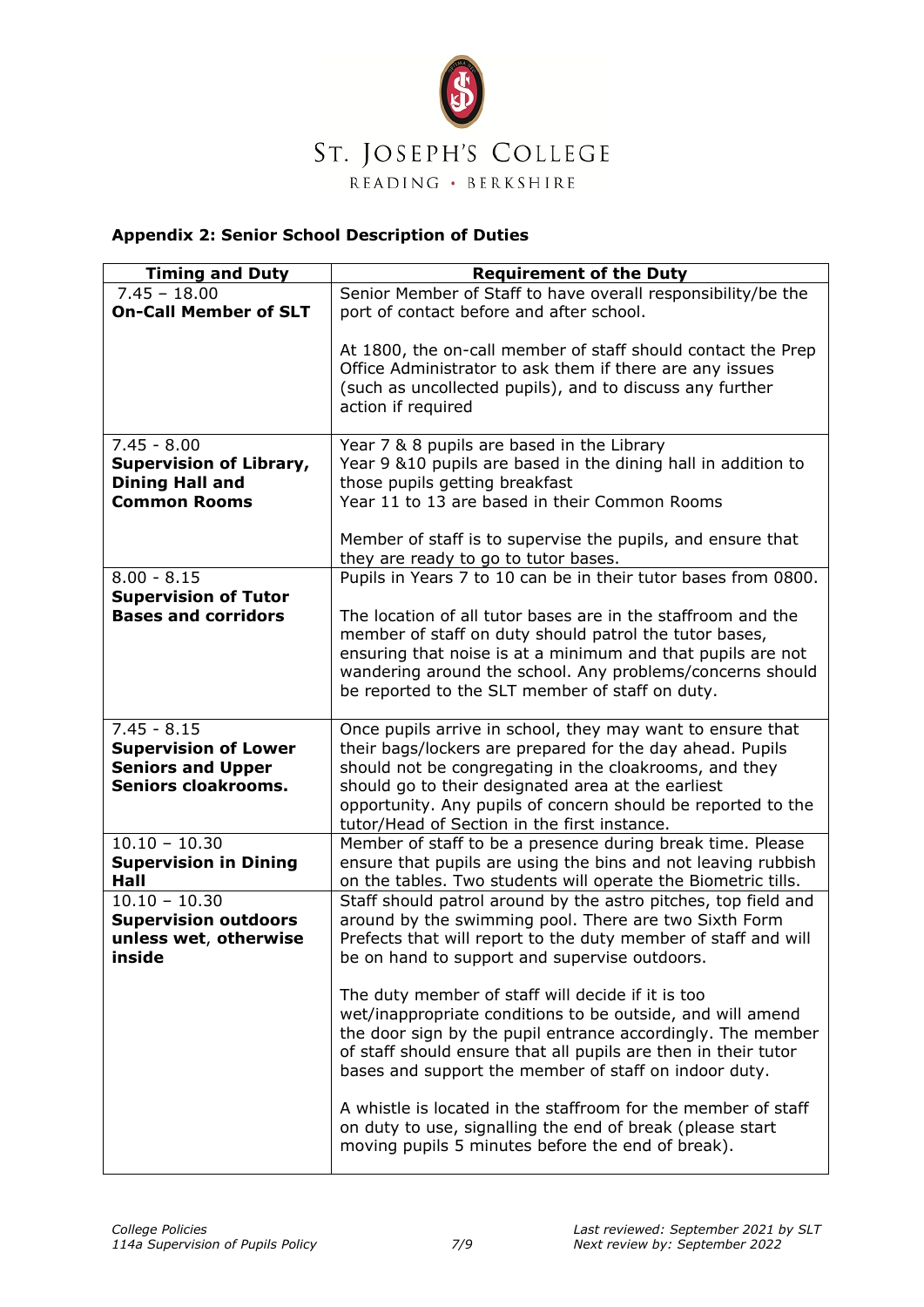

### **Appendix 2: Senior School Description of Duties**

| <b>Timing and Duty</b>         | <b>Requirement of the Duty</b>                                                                                                                                                                             |
|--------------------------------|------------------------------------------------------------------------------------------------------------------------------------------------------------------------------------------------------------|
| $7.45 - 18.00$                 | Senior Member of Staff to have overall responsibility/be the                                                                                                                                               |
| <b>On-Call Member of SLT</b>   | port of contact before and after school.                                                                                                                                                                   |
|                                | At 1800, the on-call member of staff should contact the Prep<br>Office Administrator to ask them if there are any issues<br>(such as uncollected pupils), and to discuss any further<br>action if required |
| $7.45 - 8.00$                  | Year 7 & 8 pupils are based in the Library                                                                                                                                                                 |
| <b>Supervision of Library,</b> | Year 9 &10 pupils are based in the dining hall in addition to                                                                                                                                              |
| <b>Dining Hall and</b>         | those pupils getting breakfast                                                                                                                                                                             |
| <b>Common Rooms</b>            | Year 11 to 13 are based in their Common Rooms                                                                                                                                                              |
|                                | Member of staff is to supervise the pupils, and ensure that<br>they are ready to go to tutor bases.                                                                                                        |
| $8.00 - 8.15$                  | Pupils in Years 7 to 10 can be in their tutor bases from 0800.                                                                                                                                             |
| <b>Supervision of Tutor</b>    |                                                                                                                                                                                                            |
| <b>Bases and corridors</b>     | The location of all tutor bases are in the staffroom and the                                                                                                                                               |
|                                | member of staff on duty should patrol the tutor bases,                                                                                                                                                     |
|                                | ensuring that noise is at a minimum and that pupils are not                                                                                                                                                |
|                                | wandering around the school. Any problems/concerns should<br>be reported to the SLT member of staff on duty.                                                                                               |
|                                |                                                                                                                                                                                                            |
| $7.45 - 8.15$                  | Once pupils arrive in school, they may want to ensure that                                                                                                                                                 |
| <b>Supervision of Lower</b>    | their bags/lockers are prepared for the day ahead. Pupils                                                                                                                                                  |
| <b>Seniors and Upper</b>       | should not be congregating in the cloakrooms, and they                                                                                                                                                     |
| <b>Seniors cloakrooms.</b>     | should go to their designated area at the earliest                                                                                                                                                         |
|                                | opportunity. Any pupils of concern should be reported to the                                                                                                                                               |
| $10.10 - 10.30$                | tutor/Head of Section in the first instance.<br>Member of staff to be a presence during break time. Please                                                                                                 |
| <b>Supervision in Dining</b>   | ensure that pupils are using the bins and not leaving rubbish                                                                                                                                              |
| Hall                           | on the tables. Two students will operate the Biometric tills.                                                                                                                                              |
| $10.10 - 10.30$                | Staff should patrol around by the astro pitches, top field and                                                                                                                                             |
| <b>Supervision outdoors</b>    | around by the swimming pool. There are two Sixth Form                                                                                                                                                      |
| unless wet, otherwise          | Prefects that will report to the duty member of staff and will                                                                                                                                             |
| inside                         | be on hand to support and supervise outdoors.                                                                                                                                                              |
|                                | The duty member of staff will decide if it is too                                                                                                                                                          |
|                                | wet/inappropriate conditions to be outside, and will amend                                                                                                                                                 |
|                                | the door sign by the pupil entrance accordingly. The member                                                                                                                                                |
|                                | of staff should ensure that all pupils are then in their tutor                                                                                                                                             |
|                                | bases and support the member of staff on indoor duty.                                                                                                                                                      |
|                                | A whistle is located in the staffroom for the member of staff                                                                                                                                              |
|                                | on duty to use, signalling the end of break (please start                                                                                                                                                  |
|                                | moving pupils 5 minutes before the end of break).                                                                                                                                                          |
|                                |                                                                                                                                                                                                            |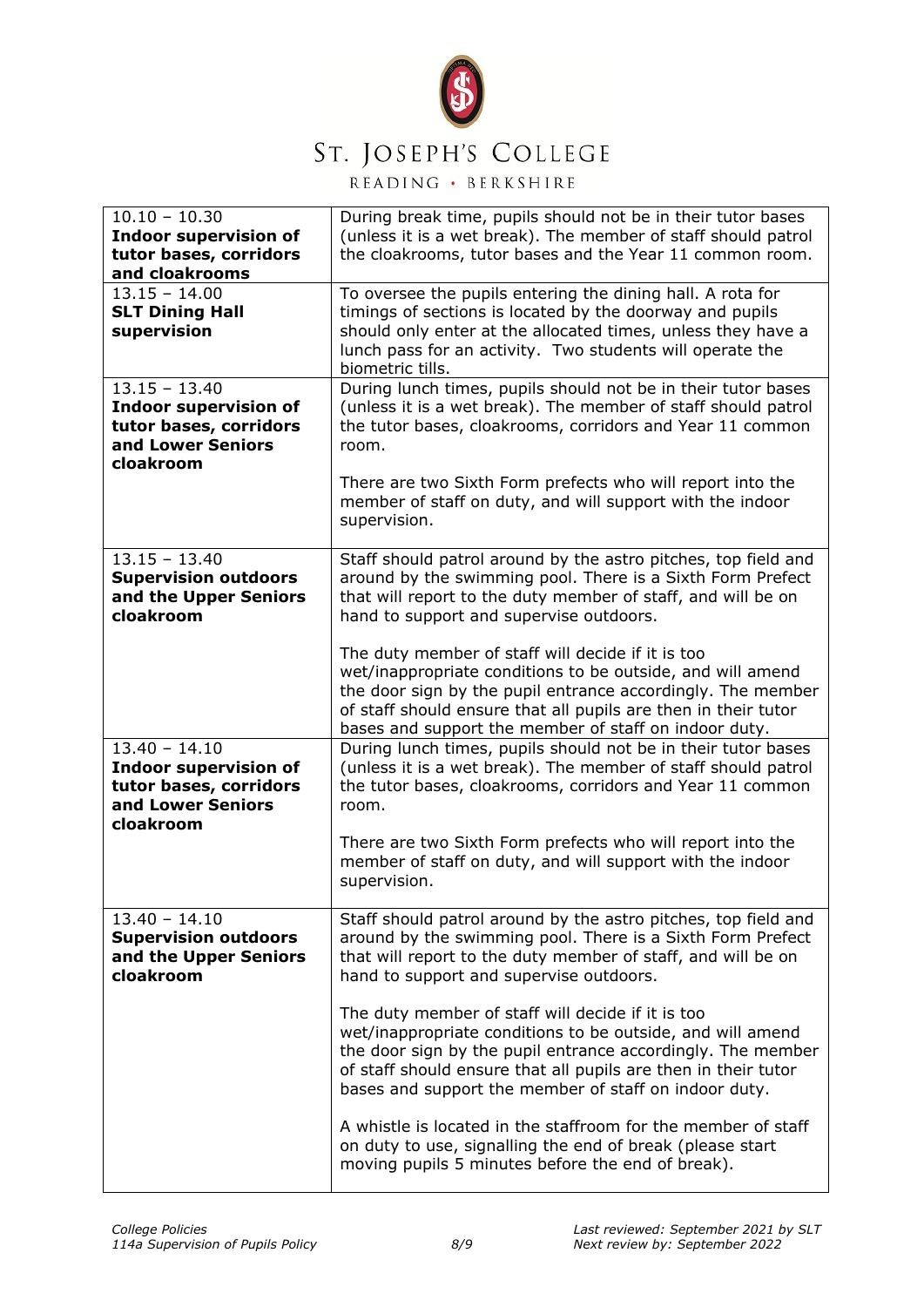

## ST. JOSEPH'S COLLEGE

READING · BERKSHIRE

| $10.10 - 10.30$<br><b>Indoor supervision of</b><br>tutor bases, corridors<br>and cloakrooms                 | During break time, pupils should not be in their tutor bases<br>(unless it is a wet break). The member of staff should patrol<br>the cloakrooms, tutor bases and the Year 11 common room.                                                                                                                                       |
|-------------------------------------------------------------------------------------------------------------|---------------------------------------------------------------------------------------------------------------------------------------------------------------------------------------------------------------------------------------------------------------------------------------------------------------------------------|
| $13.15 - 14.00$<br><b>SLT Dining Hall</b><br>supervision                                                    | To oversee the pupils entering the dining hall. A rota for<br>timings of sections is located by the doorway and pupils<br>should only enter at the allocated times, unless they have a<br>lunch pass for an activity. Two students will operate the<br>biometric tills.                                                         |
| $13.15 - 13.40$<br><b>Indoor supervision of</b><br>tutor bases, corridors<br>and Lower Seniors<br>cloakroom | During lunch times, pupils should not be in their tutor bases<br>(unless it is a wet break). The member of staff should patrol<br>the tutor bases, cloakrooms, corridors and Year 11 common<br>room.<br>There are two Sixth Form prefects who will report into the<br>member of staff on duty, and will support with the indoor |
| $13.15 - 13.40$<br><b>Supervision outdoors</b><br>and the Upper Seniors<br>cloakroom                        | supervision.<br>Staff should patrol around by the astro pitches, top field and<br>around by the swimming pool. There is a Sixth Form Prefect<br>that will report to the duty member of staff, and will be on<br>hand to support and supervise outdoors.                                                                         |
|                                                                                                             | The duty member of staff will decide if it is too<br>wet/inappropriate conditions to be outside, and will amend<br>the door sign by the pupil entrance accordingly. The member<br>of staff should ensure that all pupils are then in their tutor<br>bases and support the member of staff on indoor duty.                       |
| $13.40 - 14.10$<br><b>Indoor supervision of</b><br>tutor bases, corridors<br>and Lower Seniors<br>cloakroom | During lunch times, pupils should not be in their tutor bases<br>(unless it is a wet break). The member of staff should patrol<br>the tutor bases, cloakrooms, corridors and Year 11 common<br>room.<br>There are two Sixth Form prefects who will report into the<br>member of staff on duty, and will support with the indoor |
|                                                                                                             | supervision.                                                                                                                                                                                                                                                                                                                    |
| $13.40 - 14.10$<br><b>Supervision outdoors</b><br>and the Upper Seniors<br>cloakroom                        | Staff should patrol around by the astro pitches, top field and<br>around by the swimming pool. There is a Sixth Form Prefect<br>that will report to the duty member of staff, and will be on<br>hand to support and supervise outdoors.                                                                                         |
|                                                                                                             | The duty member of staff will decide if it is too<br>wet/inappropriate conditions to be outside, and will amend<br>the door sign by the pupil entrance accordingly. The member<br>of staff should ensure that all pupils are then in their tutor<br>bases and support the member of staff on indoor duty.                       |
|                                                                                                             | A whistle is located in the staffroom for the member of staff<br>on duty to use, signalling the end of break (please start<br>moving pupils 5 minutes before the end of break).                                                                                                                                                 |